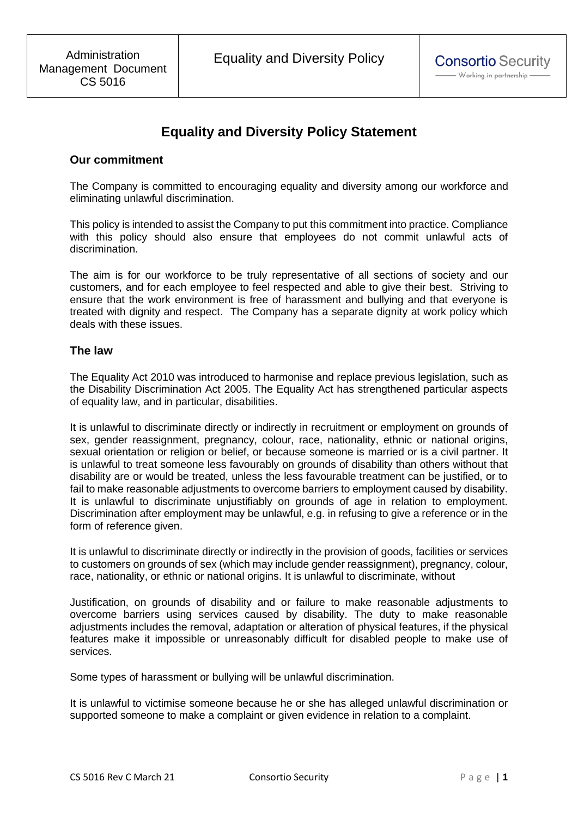# **Equality and Diversity Policy Statement**

#### **Our commitment**

The Company is committed to encouraging equality and diversity among our workforce and eliminating unlawful discrimination.

This policy is intended to assist the Company to put this commitment into practice. Compliance with this policy should also ensure that employees do not commit unlawful acts of discrimination.

The aim is for our workforce to be truly representative of all sections of society and our customers, and for each employee to feel respected and able to give their best. Striving to ensure that the work environment is free of harassment and bullying and that everyone is treated with dignity and respect. The Company has a separate dignity at work policy which deals with these issues.

#### **The law**

The Equality Act 2010 was introduced to harmonise and replace previous legislation, such as the Disability Discrimination Act 2005. The Equality Act has strengthened particular aspects of equality law, and in particular, disabilities.

It is unlawful to discriminate directly or indirectly in recruitment or employment on grounds of sex, gender reassignment, pregnancy, colour, race, nationality, ethnic or national origins, sexual orientation or religion or belief, or because someone is married or is a civil partner. It is unlawful to treat someone less favourably on grounds of disability than others without that disability are or would be treated, unless the less favourable treatment can be justified, or to fail to make reasonable adjustments to overcome barriers to employment caused by disability. It is unlawful to discriminate unjustifiably on grounds of age in relation to employment. Discrimination after employment may be unlawful, e.g. in refusing to give a reference or in the form of reference given.

It is unlawful to discriminate directly or indirectly in the provision of goods, facilities or services to customers on grounds of sex (which may include gender reassignment), pregnancy, colour, race, nationality, or ethnic or national origins. It is unlawful to discriminate, without

Justification, on grounds of disability and or failure to make reasonable adjustments to overcome barriers using services caused by disability. The duty to make reasonable adjustments includes the removal, adaptation or alteration of physical features, if the physical features make it impossible or unreasonably difficult for disabled people to make use of services.

Some types of harassment or bullying will be unlawful discrimination.

It is unlawful to victimise someone because he or she has alleged unlawful discrimination or supported someone to make a complaint or given evidence in relation to a complaint.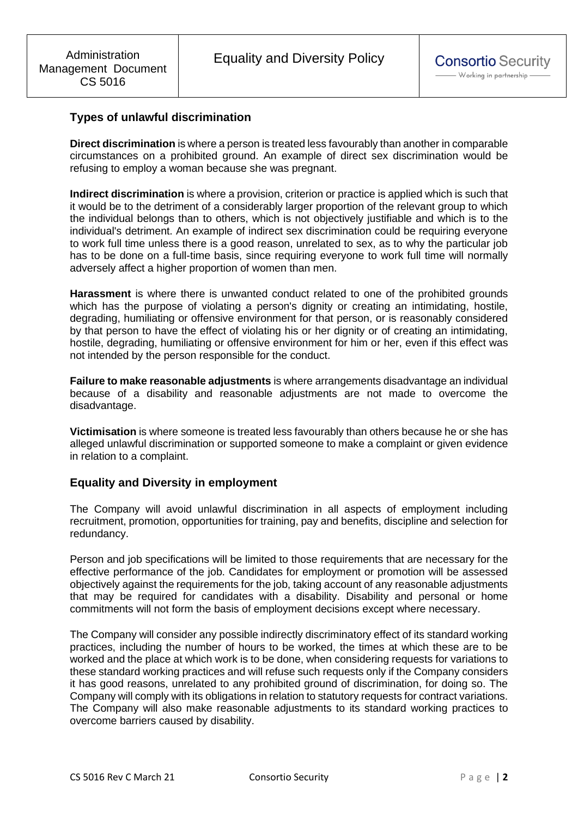# **Types of unlawful discrimination**

**Direct discrimination** is where a person is treated less favourably than another in comparable circumstances on a prohibited ground. An example of direct sex discrimination would be refusing to employ a woman because she was pregnant.

**Indirect discrimination** is where a provision, criterion or practice is applied which is such that it would be to the detriment of a considerably larger proportion of the relevant group to which the individual belongs than to others, which is not objectively justifiable and which is to the individual's detriment. An example of indirect sex discrimination could be requiring everyone to work full time unless there is a good reason, unrelated to sex, as to why the particular job has to be done on a full-time basis, since requiring everyone to work full time will normally adversely affect a higher proportion of women than men.

**Harassment** is where there is unwanted conduct related to one of the prohibited grounds which has the purpose of violating a person's dignity or creating an intimidating, hostile, degrading, humiliating or offensive environment for that person, or is reasonably considered by that person to have the effect of violating his or her dignity or of creating an intimidating, hostile, degrading, humiliating or offensive environment for him or her, even if this effect was not intended by the person responsible for the conduct.

**Failure to make reasonable adjustments** is where arrangements disadvantage an individual because of a disability and reasonable adjustments are not made to overcome the disadvantage.

**Victimisation** is where someone is treated less favourably than others because he or she has alleged unlawful discrimination or supported someone to make a complaint or given evidence in relation to a complaint.

#### **Equality and Diversity in employment**

The Company will avoid unlawful discrimination in all aspects of employment including recruitment, promotion, opportunities for training, pay and benefits, discipline and selection for redundancy.

Person and job specifications will be limited to those requirements that are necessary for the effective performance of the job. Candidates for employment or promotion will be assessed objectively against the requirements for the job, taking account of any reasonable adjustments that may be required for candidates with a disability. Disability and personal or home commitments will not form the basis of employment decisions except where necessary.

The Company will consider any possible indirectly discriminatory effect of its standard working practices, including the number of hours to be worked, the times at which these are to be worked and the place at which work is to be done, when considering requests for variations to these standard working practices and will refuse such requests only if the Company considers it has good reasons, unrelated to any prohibited ground of discrimination, for doing so. The Company will comply with its obligations in relation to statutory requests for contract variations. The Company will also make reasonable adjustments to its standard working practices to overcome barriers caused by disability.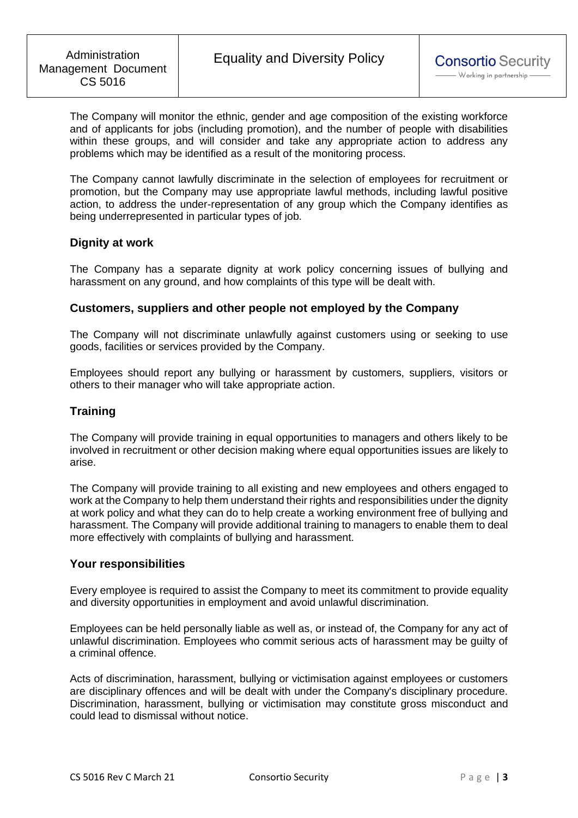The Company will monitor the ethnic, gender and age composition of the existing workforce and of applicants for jobs (including promotion), and the number of people with disabilities within these groups, and will consider and take any appropriate action to address any problems which may be identified as a result of the monitoring process.

The Company cannot lawfully discriminate in the selection of employees for recruitment or promotion, but the Company may use appropriate lawful methods, including lawful positive action, to address the under-representation of any group which the Company identifies as being underrepresented in particular types of job.

## **Dignity at work**

The Company has a separate dignity at work policy concerning issues of bullying and harassment on any ground, and how complaints of this type will be dealt with.

#### **Customers, suppliers and other people not employed by the Company**

The Company will not discriminate unlawfully against customers using or seeking to use goods, facilities or services provided by the Company.

Employees should report any bullying or harassment by customers, suppliers, visitors or others to their manager who will take appropriate action.

### **Training**

The Company will provide training in equal opportunities to managers and others likely to be involved in recruitment or other decision making where equal opportunities issues are likely to arise.

The Company will provide training to all existing and new employees and others engaged to work at the Company to help them understand their rights and responsibilities under the dignity at work policy and what they can do to help create a working environment free of bullying and harassment. The Company will provide additional training to managers to enable them to deal more effectively with complaints of bullying and harassment.

#### **Your responsibilities**

Every employee is required to assist the Company to meet its commitment to provide equality and diversity opportunities in employment and avoid unlawful discrimination.

Employees can be held personally liable as well as, or instead of, the Company for any act of unlawful discrimination. Employees who commit serious acts of harassment may be guilty of a criminal offence.

Acts of discrimination, harassment, bullying or victimisation against employees or customers are disciplinary offences and will be dealt with under the Company's disciplinary procedure. Discrimination, harassment, bullying or victimisation may constitute gross misconduct and could lead to dismissal without notice.